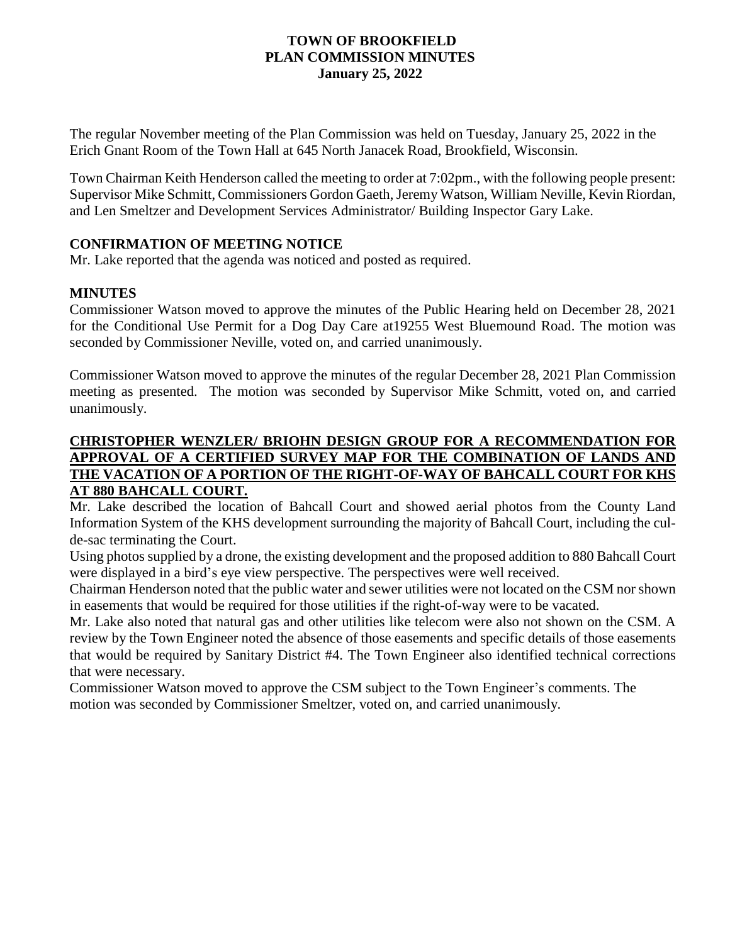### **TOWN OF BROOKFIELD PLAN COMMISSION MINUTES January 25, 2022**

The regular November meeting of the Plan Commission was held on Tuesday, January 25, 2022 in the Erich Gnant Room of the Town Hall at 645 North Janacek Road, Brookfield, Wisconsin.

Town Chairman Keith Henderson called the meeting to order at 7:02pm., with the following people present: Supervisor Mike Schmitt, Commissioners Gordon Gaeth,Jeremy Watson, William Neville, Kevin Riordan, and Len Smeltzer and Development Services Administrator/ Building Inspector Gary Lake.

## **CONFIRMATION OF MEETING NOTICE**

Mr. Lake reported that the agenda was noticed and posted as required.

# **MINUTES**

Commissioner Watson moved to approve the minutes of the Public Hearing held on December 28, 2021 for the Conditional Use Permit for a Dog Day Care at19255 West Bluemound Road. The motion was seconded by Commissioner Neville, voted on, and carried unanimously.

Commissioner Watson moved to approve the minutes of the regular December 28, 2021 Plan Commission meeting as presented. The motion was seconded by Supervisor Mike Schmitt, voted on, and carried unanimously.

## **CHRISTOPHER WENZLER/ BRIOHN DESIGN GROUP FOR A RECOMMENDATION FOR APPROVAL OF A CERTIFIED SURVEY MAP FOR THE COMBINATION OF LANDS AND THE VACATION OF A PORTION OF THE RIGHT-OF-WAY OF BAHCALL COURT FOR KHS AT 880 BAHCALL COURT.**

Mr. Lake described the location of Bahcall Court and showed aerial photos from the County Land Information System of the KHS development surrounding the majority of Bahcall Court, including the culde-sac terminating the Court.

Using photos supplied by a drone, the existing development and the proposed addition to 880 Bahcall Court were displayed in a bird's eye view perspective. The perspectives were well received.

Chairman Henderson noted that the public water and sewer utilities were not located on the CSM nor shown in easements that would be required for those utilities if the right-of-way were to be vacated.

Mr. Lake also noted that natural gas and other utilities like telecom were also not shown on the CSM. A review by the Town Engineer noted the absence of those easements and specific details of those easements that would be required by Sanitary District #4. The Town Engineer also identified technical corrections that were necessary.

Commissioner Watson moved to approve the CSM subject to the Town Engineer's comments. The motion was seconded by Commissioner Smeltzer, voted on, and carried unanimously.